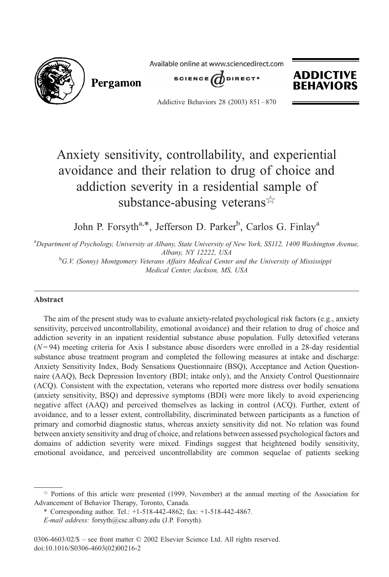

## Anxiety sensitivity, controllability, and experiential avoidance and their relation to drug of choice and addiction severity in a residential sample of substance-abusing veterans  $\approx$

John P. Forsyth<sup>a,\*</sup>, Jefferson D. Parker<sup>b</sup>, Carlos G. Finlay<sup>a</sup>

<sup>a</sup>Department of Psychology, University at Albany, State University of New York, SS112, 1400 Washington Avenue, Albany, NY 12222, USA<br><sup>b</sup>G.V. (Sonny) Montgomery Veterans Affairs Medical Center and the University of Mississippi

Medical Center, Jackson, MS, USA

## Abstract

The aim of the present study was to evaluate anxiety-related psychological risk factors (e.g., anxiety sensitivity, perceived uncontrollability, emotional avoidance) and their relation to drug of choice and addiction severity in an inpatient residential substance abuse population. Fully detoxified veterans  $(N=94)$  meeting criteria for Axis I substance abuse disorders were enrolled in a 28-day residential substance abuse treatment program and completed the following measures at intake and discharge: Anxiety Sensitivity Index, Body Sensations Questionnaire (BSQ), Acceptance and Action Questionnaire (AAQ), Beck Depression Inventory (BDI; intake only), and the Anxiety Control Questionnaire (ACQ). Consistent with the expectation, veterans who reported more distress over bodily sensations (anxiety sensitivity, BSQ) and depressive symptoms (BDI) were more likely to avoid experiencing negative affect (AAQ) and perceived themselves as lacking in control (ACQ). Further, extent of avoidance, and to a lesser extent, controllability, discriminated between participants as a function of primary and comorbid diagnostic status, whereas anxiety sensitivity did not. No relation was found between anxiety sensitivity and drug of choice, and relations between assessed psychological factors and domains of addiction severity were mixed. Findings suggest that heightened bodily sensitivity, emotional avoidance, and perceived uncontrollability are common sequelae of patients seeking

 $\dot{\gamma}$  Portions of this article were presented (1999, November) at the annual meeting of the Association for Advancement of Behavior Therapy, Toronto, Canada.

<sup>\*</sup> Corresponding author. Tel.: +1-518-442-4862; fax: +1-518-442-4867.

E-mail address: forsyth@csc.albany.edu (J.P. Forsyth).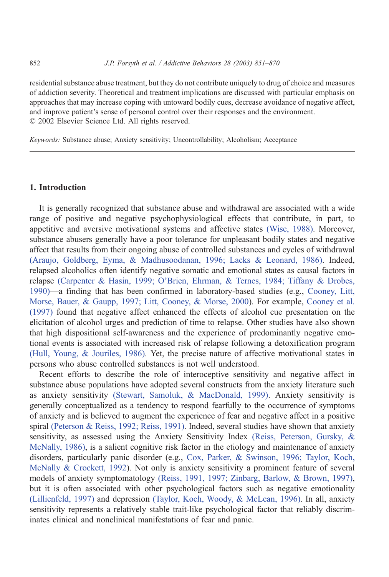residential substance abuse treatment, but they do not contribute uniquely to drug of choice and measures of addiction severity. Theoretical and treatment implications are discussed with particular emphasis on approaches that may increase coping with untoward bodily cues, decrease avoidance of negative affect, and improve patient's sense of personal control over their responses and the environment.  $© 2002 Elsevier Science Ltd. All rights reserved.$ 

Keywords: Substance abuse; Anxiety sensitivity; Uncontrollability; Alcoholism; Acceptance

## 1. Introduction

It is generally recognized that substance abuse and withdrawal are associated with a wide range of positive and negative psychophysiological effects that contribute, in part, to appetitive and aversive motivational systems and affective states [\(Wise, 1988\).](#page--1-0) Moreover, substance abusers generally have a poor tolerance for unpleasant bodily states and negative affect that results from their ongoing abuse of controlled substances and cycles of withdrawal [\(Araujo, Goldberg, Eyma, & Madhusoodanan, 1996; Lacks & Leonard, 1986\).](#page--1-0) Indeed, relapsed alcoholics often identify negative somatic and emotional states as causal factors in relapse [\(Carpenter & Hasin, 1999; O'Brien, Ehrman, & Ternes, 1984; Tiffany & Drobes,](#page--1-0) 1990)—a finding that has been confirmed in laboratory-based studies (e.g., [Cooney, Litt,](#page--1-0) Morse, Bauer, & Gaupp, 1997; Litt, Cooney, & Morse, 2000). For example, [Cooney et al.](#page--1-0) (1997) found that negative affect enhanced the effects of alcohol cue presentation on the elicitation of alcohol urges and prediction of time to relapse. Other studies have also shown that high dispositional self-awareness and the experience of predominantly negative emotional events is associated with increased risk of relapse following a detoxification program [\(Hull, Young, & Jouriles, 1986\).](#page--1-0) Yet, the precise nature of affective motivational states in persons who abuse controlled substances is not well understood.

Recent efforts to describe the role of interoceptive sensitivity and negative affect in substance abuse populations have adopted several constructs from the anxiety literature such as anxiety sensitivity [\(Stewart, Samoluk, & MacDonald, 1999\).](#page--1-0) Anxiety sensitivity is generally conceptualized as a tendency to respond fearfully to the occurrence of symptoms of anxiety and is believed to augment the experience of fear and negative affect in a positive spiral [\(Peterson & Reiss, 1992; Reiss, 1991\).](#page--1-0) Indeed, several studies have shown that anxiety sensitivity, as assessed using the Anxiety Sensitivity Index [\(Reiss, Peterson, Gursky, &](#page--1-0) McNally, 1986), is a salient cognitive risk factor in the etiology and maintenance of anxiety disorders, particularly panic disorder (e.g., [Cox, Parker, & Swinson, 1996; Taylor, Koch,](#page--1-0) McNally & Crockett, 1992). Not only is anxiety sensitivity a prominent feature of several models of anxiety symptomatology [\(Reiss, 1991, 1997; Zinbarg, Barlow, & Brown, 1997\),](#page--1-0) but it is often associated with other psychological factors such as negative emotionality [\(Lillienfeld, 1997\)](#page--1-0) and depression [\(Taylor, Koch, Woody, & McLean, 1996\).](#page--1-0) In all, anxiety sensitivity represents a relatively stable trait-like psychological factor that reliably discriminates clinical and nonclinical manifestations of fear and panic.